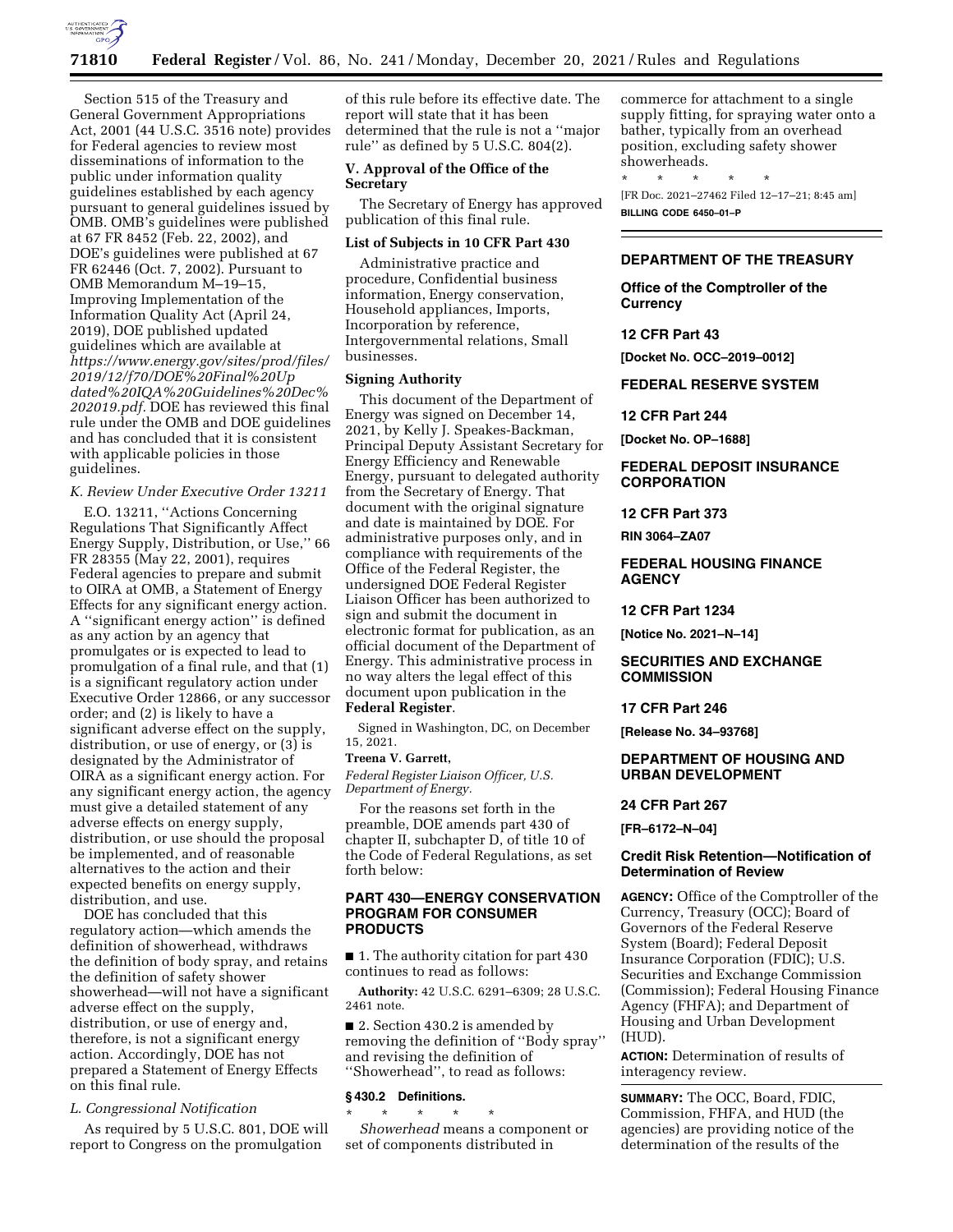

Section 515 of the Treasury and General Government Appropriations Act, 2001 (44 U.S.C. 3516 note) provides for Federal agencies to review most disseminations of information to the public under information quality guidelines established by each agency pursuant to general guidelines issued by OMB. OMB's guidelines were published at 67 FR 8452 (Feb. 22, 2002), and DOE's guidelines were published at 67 FR 62446 (Oct. 7, 2002). Pursuant to OMB Memorandum M–19–15, Improving Implementation of the Information Quality Act (April 24, 2019), DOE published updated guidelines which are available at *[https://www.energy.gov/sites/prod/files/](https://www.energy.gov/sites/prod/files/2019/12/f70/DOE%20Final%20Updated%20IQA%20Guidelines%20Dec%202019.pdf) [2019/12/f70/DOE%20Final%20Up](https://www.energy.gov/sites/prod/files/2019/12/f70/DOE%20Final%20Updated%20IQA%20Guidelines%20Dec%202019.pdf) [dated%20IQA%20Guidelines%20Dec%](https://www.energy.gov/sites/prod/files/2019/12/f70/DOE%20Final%20Updated%20IQA%20Guidelines%20Dec%202019.pdf) [202019.pdf.](https://www.energy.gov/sites/prod/files/2019/12/f70/DOE%20Final%20Updated%20IQA%20Guidelines%20Dec%202019.pdf)* DOE has reviewed this final rule under the OMB and DOE guidelines and has concluded that it is consistent with applicable policies in those guidelines.

### *K. Review Under Executive Order 13211*

E.O. 13211, ''Actions Concerning Regulations That Significantly Affect Energy Supply, Distribution, or Use,'' 66 FR 28355 (May 22, 2001), requires Federal agencies to prepare and submit to OIRA at OMB, a Statement of Energy Effects for any significant energy action. A ''significant energy action'' is defined as any action by an agency that promulgates or is expected to lead to promulgation of a final rule, and that (1) is a significant regulatory action under Executive Order 12866, or any successor order; and (2) is likely to have a significant adverse effect on the supply, distribution, or use of energy, or (3) is designated by the Administrator of OIRA as a significant energy action. For any significant energy action, the agency must give a detailed statement of any adverse effects on energy supply, distribution, or use should the proposal be implemented, and of reasonable alternatives to the action and their expected benefits on energy supply, distribution, and use.

DOE has concluded that this regulatory action—which amends the definition of showerhead, withdraws the definition of body spray, and retains the definition of safety shower showerhead—will not have a significant adverse effect on the supply, distribution, or use of energy and, therefore, is not a significant energy action. Accordingly, DOE has not prepared a Statement of Energy Effects on this final rule.

## *L. Congressional Notification*

As required by 5 U.S.C. 801, DOE will report to Congress on the promulgation

of this rule before its effective date. The report will state that it has been determined that the rule is not a ''major rule'' as defined by 5 U.S.C. 804(2).

## **V. Approval of the Office of the Secretary**

The Secretary of Energy has approved publication of this final rule.

### **List of Subjects in 10 CFR Part 430**

Administrative practice and procedure, Confidential business information, Energy conservation, Household appliances, Imports, Incorporation by reference, Intergovernmental relations, Small businesses.

#### **Signing Authority**

This document of the Department of Energy was signed on December 14, 2021, by Kelly J. Speakes-Backman, Principal Deputy Assistant Secretary for Energy Efficiency and Renewable Energy, pursuant to delegated authority from the Secretary of Energy. That document with the original signature and date is maintained by DOE. For administrative purposes only, and in compliance with requirements of the Office of the Federal Register, the undersigned DOE Federal Register Liaison Officer has been authorized to sign and submit the document in electronic format for publication, as an official document of the Department of Energy. This administrative process in no way alters the legal effect of this document upon publication in the **Federal Register**.

Signed in Washington, DC, on December 15, 2021.

## **Treena V. Garrett,**

*Federal Register Liaison Officer, U.S. Department of Energy.* 

For the reasons set forth in the preamble, DOE amends part 430 of chapter II, subchapter D, of title 10 of the Code of Federal Regulations, as set forth below:

## **PART 430—ENERGY CONSERVATION PROGRAM FOR CONSUMER PRODUCTS**

■ 1. The authority citation for part 430 continues to read as follows:

**Authority:** 42 U.S.C. 6291–6309; 28 U.S.C. 2461 note.

■ 2. Section 430.2 is amended by removing the definition of ''Body spray'' and revising the definition of ''Showerhead'', to read as follows:

#### **§ 430.2 Definitions.**

\* \* \* \* \* *Showerhead* means a component or set of components distributed in

commerce for attachment to a single supply fitting, for spraying water onto a bather, typically from an overhead position, excluding safety shower showerheads.

\* \* \* \* \* [FR Doc. 2021–27462 Filed 12–17–21; 8:45 am] **BILLING CODE 6450–01–P** 

## **DEPARTMENT OF THE TREASURY**

**Office of the Comptroller of the Currency** 

#### **12 CFR Part 43**

**[Docket No. OCC–2019–0012]** 

**FEDERAL RESERVE SYSTEM** 

#### **12 CFR Part 244**

**[Docket No. OP–1688]** 

## **FEDERAL DEPOSIT INSURANCE CORPORATION**

# **12 CFR Part 373**

**RIN 3064–ZA07** 

# **FEDERAL HOUSING FINANCE AGENCY**

#### **12 CFR Part 1234**

**[Notice No. 2021–N–14]** 

## **SECURITIES AND EXCHANGE COMMISSION**

### **17 CFR Part 246**

**[Release No. 34–93768]** 

## **DEPARTMENT OF HOUSING AND URBAN DEVELOPMENT**

#### **24 CFR Part 267**

**[FR–6172–N–04]** 

## **Credit Risk Retention—Notification of Determination of Review**

**AGENCY:** Office of the Comptroller of the Currency, Treasury (OCC); Board of Governors of the Federal Reserve System (Board); Federal Deposit Insurance Corporation (FDIC); U.S. Securities and Exchange Commission (Commission); Federal Housing Finance Agency (FHFA); and Department of Housing and Urban Development (HUD).

**ACTION:** Determination of results of interagency review.

**SUMMARY:** The OCC, Board, FDIC, Commission, FHFA, and HUD (the agencies) are providing notice of the determination of the results of the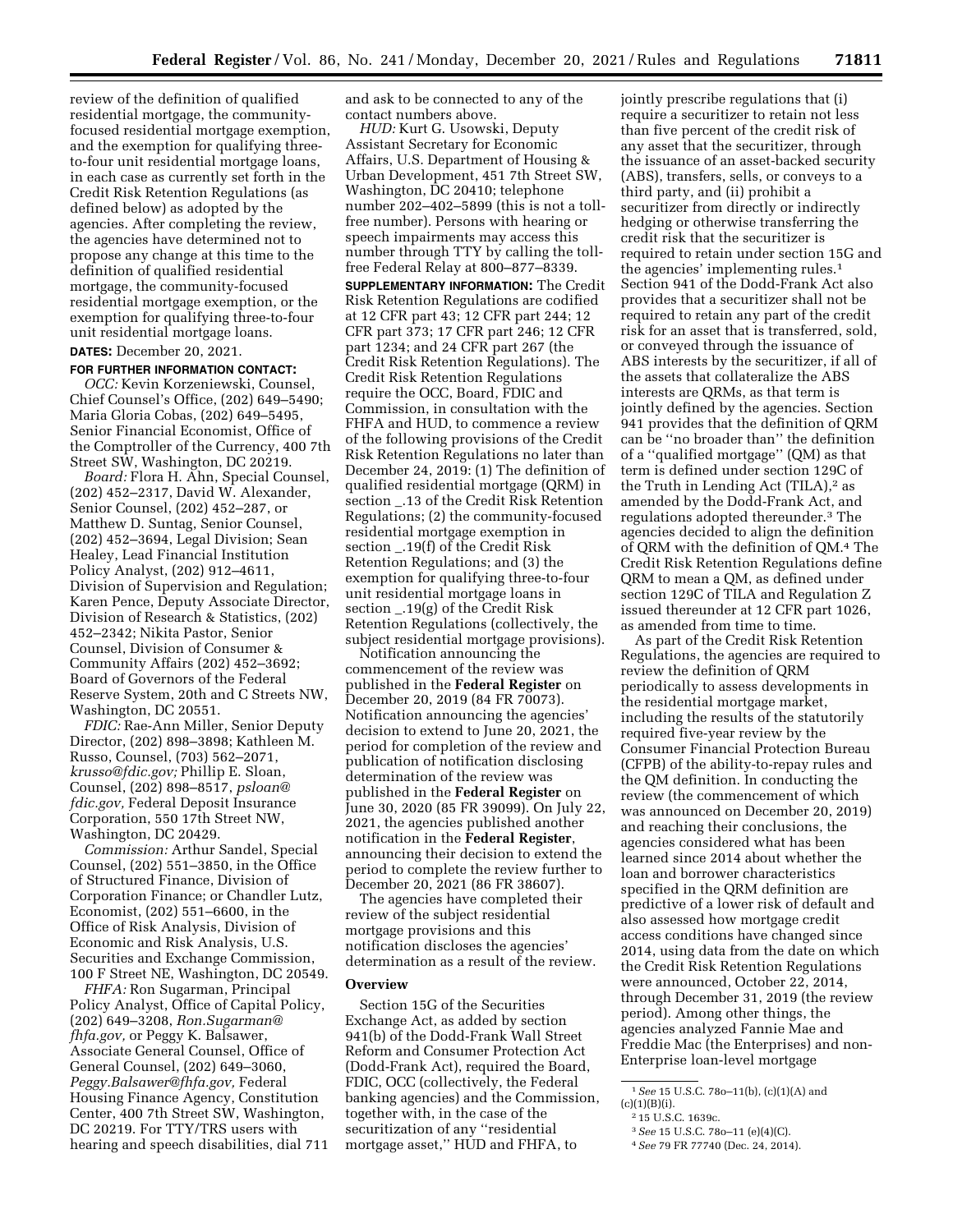review of the definition of qualified residential mortgage, the communityfocused residential mortgage exemption, and the exemption for qualifying threeto-four unit residential mortgage loans, in each case as currently set forth in the Credit Risk Retention Regulations (as defined below) as adopted by the agencies. After completing the review, the agencies have determined not to propose any change at this time to the definition of qualified residential mortgage, the community-focused residential mortgage exemption, or the exemption for qualifying three-to-four unit residential mortgage loans.

# **DATES:** December 20, 2021.

#### **FOR FURTHER INFORMATION CONTACT:**

*OCC:* Kevin Korzeniewski, Counsel, Chief Counsel's Office, (202) 649–5490; Maria Gloria Cobas, (202) 649–5495, Senior Financial Economist, Office of the Comptroller of the Currency, 400 7th Street SW, Washington, DC 20219.

*Board:* Flora H. Ahn, Special Counsel, (202) 452–2317, David W. Alexander, Senior Counsel, (202) 452–287, or Matthew D. Suntag, Senior Counsel, (202) 452–3694, Legal Division; Sean Healey, Lead Financial Institution Policy Analyst, (202) 912–4611, Division of Supervision and Regulation; Karen Pence, Deputy Associate Director, Division of Research & Statistics, (202) 452–2342; Nikita Pastor, Senior Counsel, Division of Consumer & Community Affairs (202) 452–3692; Board of Governors of the Federal Reserve System, 20th and C Streets NW, Washington, DC 20551.

*FDIC:* Rae-Ann Miller, Senior Deputy Director, (202) 898–3898; Kathleen M. Russo, Counsel, (703) 562–2071, *[krusso@fdic.gov;](mailto:krusso@fdic.gov)* Phillip E. Sloan, Counsel, (202) 898–8517, *[psloan@](mailto:psloan@fdic.gov) [fdic.gov,](mailto:psloan@fdic.gov)* Federal Deposit Insurance Corporation, 550 17th Street NW, Washington, DC 20429.

*Commission:* Arthur Sandel, Special Counsel, (202) 551–3850, in the Office of Structured Finance, Division of Corporation Finance; or Chandler Lutz, Economist, (202) 551–6600, in the Office of Risk Analysis, Division of Economic and Risk Analysis, U.S. Securities and Exchange Commission, 100 F Street NE, Washington, DC 20549.

*FHFA:* Ron Sugarman, Principal Policy Analyst, Office of Capital Policy, (202) 649–3208, *[Ron.Sugarman@](mailto:Ron.Sugarman@fhfa.gov) [fhfa.gov,](mailto:Ron.Sugarman@fhfa.gov)* or Peggy K. Balsawer, Associate General Counsel, Office of General Counsel, (202) 649–3060, *[Peggy.Balsawer@fhfa.gov,](mailto:Peggy.Balsawer@fhfa.gov)* Federal Housing Finance Agency, Constitution Center, 400 7th Street SW, Washington, DC 20219. For TTY/TRS users with hearing and speech disabilities, dial 711 and ask to be connected to any of the contact numbers above.

*HUD:* Kurt G. Usowski, Deputy Assistant Secretary for Economic Affairs, U.S. Department of Housing & Urban Development, 451 7th Street SW, Washington, DC 20410; telephone number 202–402–5899 (this is not a tollfree number). Persons with hearing or speech impairments may access this number through TTY by calling the tollfree Federal Relay at 800–877–8339. **SUPPLEMENTARY INFORMATION:** The Credit Risk Retention Regulations are codified at 12 CFR part 43; 12 CFR part 244; 12 CFR part 373; 17 CFR part 246; 12 CFR part 1234; and 24 CFR part 267 (the Credit Risk Retention Regulations). The Credit Risk Retention Regulations require the OCC, Board, FDIC and Commission, in consultation with the FHFA and HUD, to commence a review of the following provisions of the Credit Risk Retention Regulations no later than December 24, 2019: (1) The definition of qualified residential mortgage (QRM) in section \_.13 of the Credit Risk Retention Regulations; (2) the community-focused residential mortgage exemption in section \_.19(f) of the Credit Risk Retention Regulations; and (3) the exemption for qualifying three-to-four unit residential mortgage loans in section \_.19(g) of the Credit Risk Retention Regulations (collectively, the subject residential mortgage provisions).

Notification announcing the commencement of the review was published in the **Federal Register** on December 20, 2019 (84 FR 70073). Notification announcing the agencies' decision to extend to June 20, 2021, the period for completion of the review and publication of notification disclosing determination of the review was published in the **Federal Register** on June 30, 2020 (85 FR 39099). On July 22, 2021, the agencies published another notification in the **Federal Register**, announcing their decision to extend the period to complete the review further to December 20, 2021 (86 FR 38607).

The agencies have completed their review of the subject residential mortgage provisions and this notification discloses the agencies' determination as a result of the review.

## **Overview**

Section 15G of the Securities Exchange Act, as added by section 941(b) of the Dodd-Frank Wall Street Reform and Consumer Protection Act (Dodd-Frank Act), required the Board, FDIC, OCC (collectively, the Federal banking agencies) and the Commission, together with, in the case of the securitization of any ''residential mortgage asset,'' HUD and FHFA, to

jointly prescribe regulations that (i) require a securitizer to retain not less than five percent of the credit risk of any asset that the securitizer, through the issuance of an asset-backed security (ABS), transfers, sells, or conveys to a third party, and (ii) prohibit a securitizer from directly or indirectly hedging or otherwise transferring the credit risk that the securitizer is required to retain under section 15G and the agencies' implementing rules.1 Section 941 of the Dodd-Frank Act also provides that a securitizer shall not be required to retain any part of the credit risk for an asset that is transferred, sold, or conveyed through the issuance of ABS interests by the securitizer, if all of the assets that collateralize the ABS interests are QRMs, as that term is jointly defined by the agencies. Section 941 provides that the definition of QRM can be ''no broader than'' the definition of a ''qualified mortgage'' (QM) as that term is defined under section 129C of the Truth in Lending Act  $(TILA)$ ,<sup>2</sup> as amended by the Dodd-Frank Act, and regulations adopted thereunder.3 The agencies decided to align the definition of QRM with the definition of QM.4 The Credit Risk Retention Regulations define QRM to mean a QM, as defined under section 129C of TILA and Regulation Z issued thereunder at 12 CFR part 1026, as amended from time to time.

As part of the Credit Risk Retention Regulations, the agencies are required to review the definition of QRM periodically to assess developments in the residential mortgage market, including the results of the statutorily required five-year review by the Consumer Financial Protection Bureau (CFPB) of the ability-to-repay rules and the QM definition. In conducting the review (the commencement of which was announced on December 20, 2019) and reaching their conclusions, the agencies considered what has been learned since 2014 about whether the loan and borrower characteristics specified in the QRM definition are predictive of a lower risk of default and also assessed how mortgage credit access conditions have changed since 2014, using data from the date on which the Credit Risk Retention Regulations were announced, October 22, 2014, through December 31, 2019 (the review period). Among other things, the agencies analyzed Fannie Mae and Freddie Mac (the Enterprises) and non-Enterprise loan-level mortgage

<sup>1</sup>*See* 15 U.S.C. 78o–11(b), (c)(1)(A) and  $(c)(1)(B)(i).$ 

<sup>2</sup> 15 U.S.C. 1639c.

<sup>3</sup>*See* 15 U.S.C. 78o–11 (e)(4)(C).

<sup>4</sup>*See* 79 FR 77740 (Dec. 24, 2014).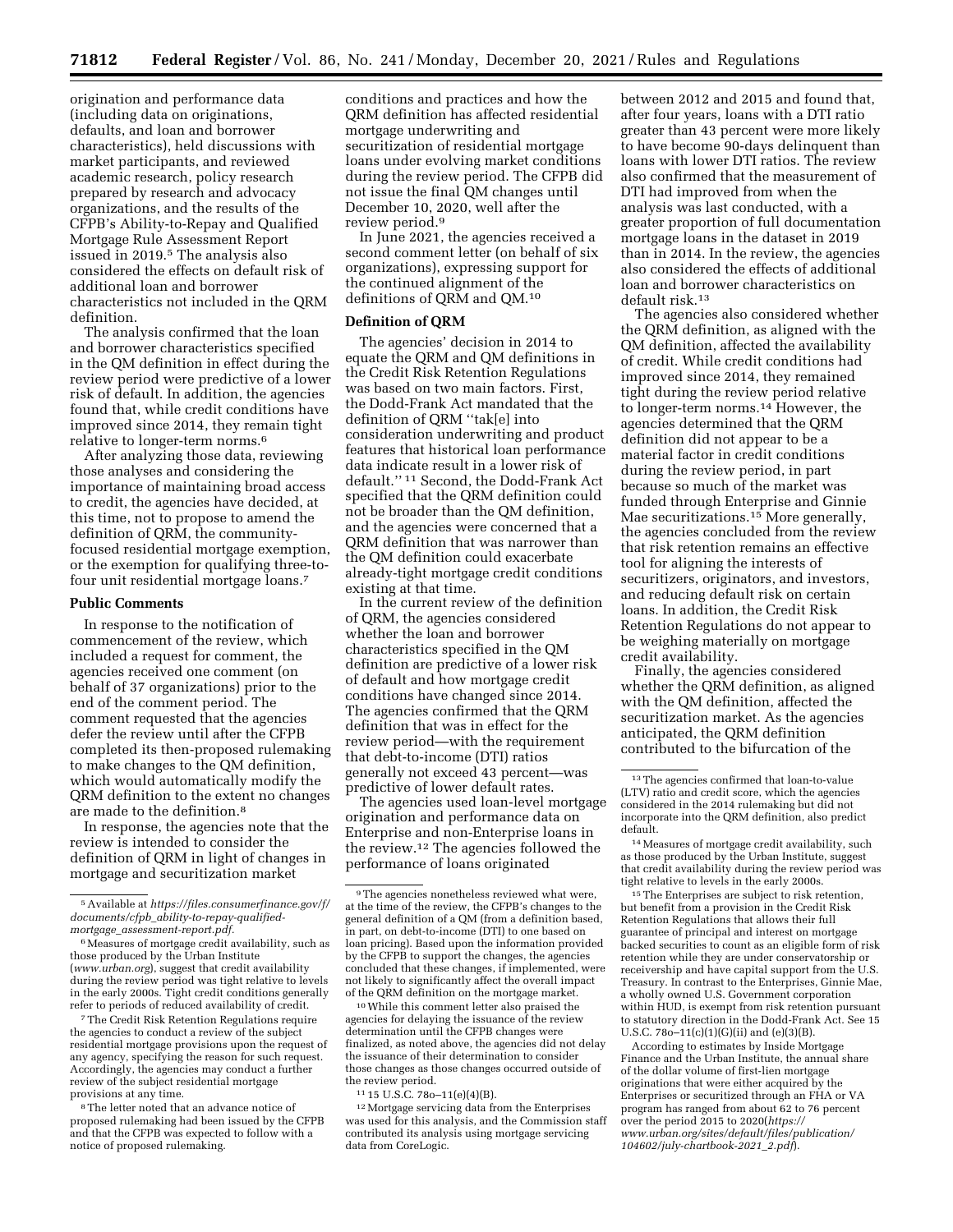origination and performance data (including data on originations, defaults, and loan and borrower characteristics), held discussions with market participants, and reviewed academic research, policy research prepared by research and advocacy organizations, and the results of the CFPB's Ability-to-Repay and Qualified Mortgage Rule Assessment Report issued in 2019.5 The analysis also considered the effects on default risk of additional loan and borrower characteristics not included in the QRM definition.

The analysis confirmed that the loan and borrower characteristics specified in the QM definition in effect during the review period were predictive of a lower risk of default. In addition, the agencies found that, while credit conditions have improved since 2014, they remain tight relative to longer-term norms.6

After analyzing those data, reviewing those analyses and considering the importance of maintaining broad access to credit, the agencies have decided, at this time, not to propose to amend the definition of QRM, the communityfocused residential mortgage exemption, or the exemption for qualifying three-tofour unit residential mortgage loans.7

### **Public Comments**

In response to the notification of commencement of the review, which included a request for comment, the agencies received one comment (on behalf of 37 organizations) prior to the end of the comment period. The comment requested that the agencies defer the review until after the CFPB completed its then-proposed rulemaking to make changes to the QM definition, which would automatically modify the QRM definition to the extent no changes are made to the definition.8

In response, the agencies note that the review is intended to consider the definition of QRM in light of changes in mortgage and securitization market

7The Credit Risk Retention Regulations require the agencies to conduct a review of the subject residential mortgage provisions upon the request of any agency, specifying the reason for such request. Accordingly, the agencies may conduct a further review of the subject residential mortgage provisions at any time.

8The letter noted that an advance notice of proposed rulemaking had been issued by the CFPB and that the CFPB was expected to follow with a notice of proposed rulemaking.

conditions and practices and how the QRM definition has affected residential mortgage underwriting and securitization of residential mortgage loans under evolving market conditions during the review period. The CFPB did not issue the final QM changes until December 10, 2020, well after the review period.9

In June 2021, the agencies received a second comment letter (on behalf of six organizations), expressing support for the continued alignment of the definitions of QRM and QM.10

### **Definition of QRM**

The agencies' decision in 2014 to equate the QRM and QM definitions in the Credit Risk Retention Regulations was based on two main factors. First, the Dodd-Frank Act mandated that the definition of QRM ''tak[e] into consideration underwriting and product features that historical loan performance data indicate result in a lower risk of default.'' 11 Second, the Dodd-Frank Act specified that the QRM definition could not be broader than the QM definition, and the agencies were concerned that a QRM definition that was narrower than the QM definition could exacerbate already-tight mortgage credit conditions existing at that time.

In the current review of the definition of QRM, the agencies considered whether the loan and borrower characteristics specified in the QM definition are predictive of a lower risk of default and how mortgage credit conditions have changed since 2014. The agencies confirmed that the QRM definition that was in effect for the review period—with the requirement that debt-to-income (DTI) ratios generally not exceed 43 percent—was predictive of lower default rates.

The agencies used loan-level mortgage origination and performance data on Enterprise and non-Enterprise loans in the review.12 The agencies followed the performance of loans originated

10While this comment letter also praised the agencies for delaying the issuance of the review determination until the CFPB changes were finalized, as noted above, the agencies did not delay the issuance of their determination to consider those changes as those changes occurred outside of the review period.

11 15 U.S.C. 78o–11(e)(4)(B).

12Mortgage servicing data from the Enterprises was used for this analysis, and the Commission staff contributed its analysis using mortgage servicing data from CoreLogic.

between 2012 and 2015 and found that, after four years, loans with a DTI ratio greater than 43 percent were more likely to have become 90-days delinquent than loans with lower DTI ratios. The review also confirmed that the measurement of DTI had improved from when the analysis was last conducted, with a greater proportion of full documentation mortgage loans in the dataset in 2019 than in 2014. In the review, the agencies also considered the effects of additional loan and borrower characteristics on default risk.13

The agencies also considered whether the QRM definition, as aligned with the QM definition, affected the availability of credit. While credit conditions had improved since 2014, they remained tight during the review period relative to longer-term norms.14 However, the agencies determined that the QRM definition did not appear to be a material factor in credit conditions during the review period, in part because so much of the market was funded through Enterprise and Ginnie Mae securitizations.<sup>15</sup> More generally, the agencies concluded from the review that risk retention remains an effective tool for aligning the interests of securitizers, originators, and investors, and reducing default risk on certain loans. In addition, the Credit Risk Retention Regulations do not appear to be weighing materially on mortgage credit availability.

Finally, the agencies considered whether the QRM definition, as aligned with the QM definition, affected the securitization market. As the agencies anticipated, the QRM definition contributed to the bifurcation of the

15The Enterprises are subject to risk retention, but benefit from a provision in the Credit Risk Retention Regulations that allows their full guarantee of principal and interest on mortgage backed securities to count as an eligible form of risk retention while they are under conservatorship or receivership and have capital support from the U.S. Treasury. In contrast to the Enterprises, Ginnie Mae, a wholly owned U.S. Government corporation within HUD, is exempt from risk retention pursuant to statutory direction in the Dodd-Frank Act. See 15 U.S.C.  $780-11(c)(1)(G)(ii)$  and  $(e)(3)(B)$ .

According to estimates by Inside Mortgage Finance and the Urban Institute, the annual share of the dollar volume of first-lien mortgage originations that were either acquired by the Enterprises or securitized through an FHA or VA program has ranged from about 62 to 76 percent over the period 2015 to 2020(*[https://](https://www.urban.org/sites/default/files/publication/104602/july-chartbook-2021_2.pdf) [www.urban.org/sites/default/files/publication/](https://www.urban.org/sites/default/files/publication/104602/july-chartbook-2021_2.pdf)  [104602/july-chartbook-2021](https://www.urban.org/sites/default/files/publication/104602/july-chartbook-2021_2.pdf)*\_*2.pdf*).

<sup>5</sup>Available at *[https://files.consumerfinance.gov/f/](https://files.consumerfinance.gov/f/documents/cfpb_ability-to-repay-qualified-mortgage_assessment-report.pdf)  documents/cfpb*\_*[ability-to-repay-qualified](https://files.consumerfinance.gov/f/documents/cfpb_ability-to-repay-qualified-mortgage_assessment-report.pdf)mortgage*\_*[assessment-report.pdf.](https://files.consumerfinance.gov/f/documents/cfpb_ability-to-repay-qualified-mortgage_assessment-report.pdf)* 

<sup>6</sup>Measures of mortgage credit availability, such as those produced by the Urban Institute (*[www.urban.org](http://www.urban.org)*), suggest that credit availability during the review period was tight relative to levels in the early 2000s. Tight credit conditions generally refer to periods of reduced availability of credit.

<sup>&</sup>lt;sup>9</sup>The agencies nonetheless reviewed what were, at the time of the review, the CFPB's changes to the general definition of a QM (from a definition based, in part, on debt-to-income (DTI) to one based on loan pricing). Based upon the information provided by the CFPB to support the changes, the agencies concluded that these changes, if implemented, were not likely to significantly affect the overall impact of the QRM definition on the mortgage market.

<sup>13</sup>The agencies confirmed that loan-to-value (LTV) ratio and credit score, which the agencies considered in the 2014 rulemaking but did not incorporate into the QRM definition, also predict default.

<sup>14</sup>Measures of mortgage credit availability, such as those produced by the Urban Institute, suggest that credit availability during the review period was tight relative to levels in the early 2000s.